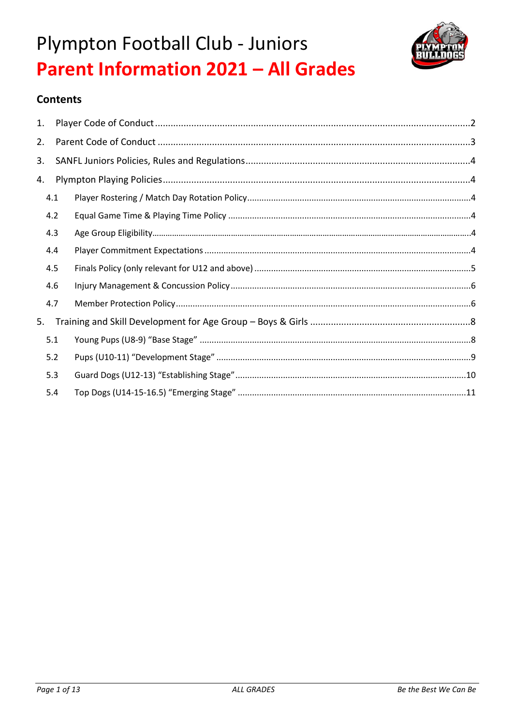



### **Contents**

| 1. |     |  |
|----|-----|--|
| 2. |     |  |
| 3. |     |  |
| 4. |     |  |
|    | 4.1 |  |
|    | 4.2 |  |
|    | 4.3 |  |
|    | 4.4 |  |
|    | 4.5 |  |
|    | 4.6 |  |
|    | 4.7 |  |
| 5. |     |  |
|    | 5.1 |  |
|    | 5.2 |  |
|    | 5.3 |  |
|    | 5.4 |  |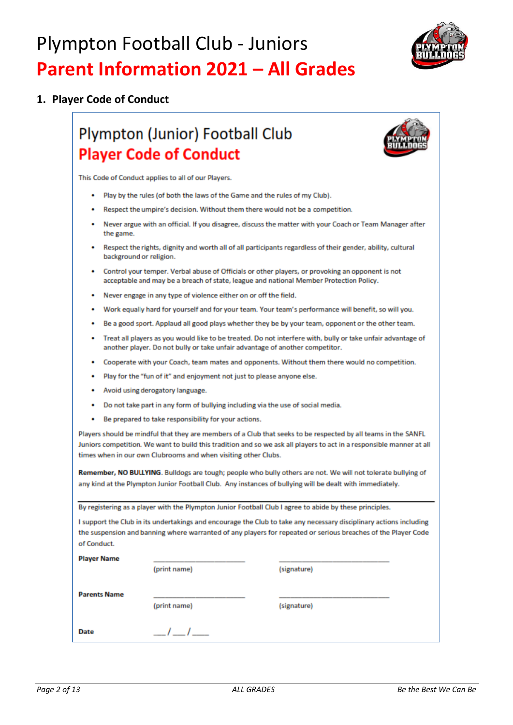

### 1. Player Code of Conduct

## **Plympton (Junior) Football Club Player Code of Conduct**



This Code of Conduct applies to all of our Players.

- Play by the rules (of both the laws of the Game and the rules of my Club).
- Respect the umpire's decision. Without them there would not be a competition.
- Never argue with an official. If you disagree, discuss the matter with your Coach or Team Manager after the game.
- Respect the rights, dignity and worth all of all participants regardless of their gender, ability, cultural background or religion.
- Control your temper. Verbal abuse of Officials or other players, or provoking an opponent is not acceptable and may be a breach of state, league and national Member Protection Policy.
- Never engage in any type of violence either on or off the field.
- Work equally hard for yourself and for your team. Your team's performance will benefit, so will you.
- Be a good sport. Applaud all good plays whether they be by your team, opponent or the other team.
- Treat all players as you would like to be treated. Do not interfere with, bully or take unfair advantage of another player. Do not bully or take unfair advantage of another competitor.
- Cooperate with your Coach, team mates and opponents. Without them there would no competition.
- Play for the "fun of it" and enjoyment not just to please anyone else.
- Avoid using derogatory language.
- Do not take part in any form of bullying including via the use of social media.
- Be prepared to take responsibility for your actions.

Players should be mindful that they are members of a Club that seeks to be respected by all teams in the SANFL Juniors competition. We want to build this tradition and so we ask all players to act in a responsible manner at all times when in our own Clubrooms and when visiting other Clubs.

Remember, NO BULLYING. Buildogs are tough; people who bully others are not. We will not tolerate bullying of any kind at the Plympton Junior Football Club. Any instances of bullying will be dealt with immediately.

By registering as a player with the Plympton Junior Football Club I agree to abide by these principles.

I support the Club in its undertakings and encourage the Club to take any necessary disciplinary actions including the suspension and banning where warranted of any players for repeated or serious breaches of the Player Code of Conduct.

| Player Name         |              |             |  |  |
|---------------------|--------------|-------------|--|--|
|                     | (print name) | (signature) |  |  |
| <b>Parents Name</b> | (print name) | (signature) |  |  |
| <b>Date</b>         |              |             |  |  |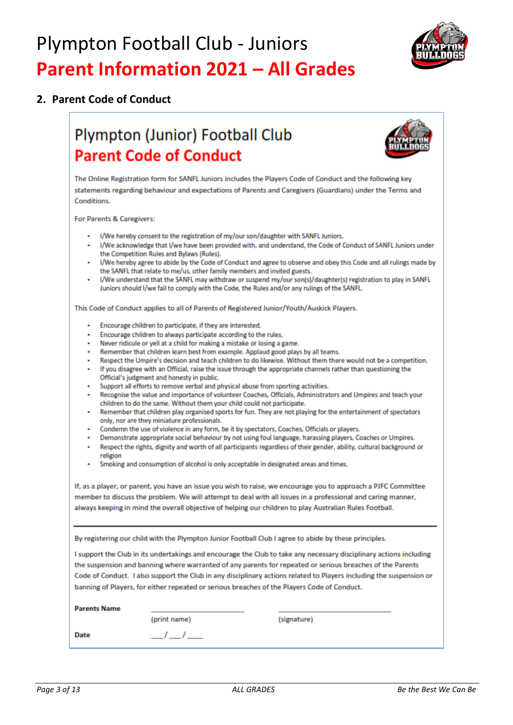

### 2. Parent Code of Conduct

## Plympton (Junior) Football Club **Parent Code of Conduct**



The Online Registration form for SANFL Juniors includes the Players Code of Conduct and the following key statements regarding behaviour and expectations of Parents and Caregivers (Guardians) under the Terms and **Conditions** 

For Parents & Caregivers:

- I/We hereby consent to the registration of my/our son/daughter with SANFL Juniors.
- I/We acknowledge that I/we have been provided with, and understand, the Code of Conduct of SANFL Juniors under the Competition Rules and Bylaws (Rules).
- I/We hereby agree to abide by the Code of Conduct and agree to observe and obey this Code and all rulings made by the SANFL that relate to me/us, other family members and invited guests.
- I/We understand that the SANFL may withdraw or suspend my/our son(s)/daughter(s) registration to play in SANFL Juniors should I/we fail to comply with the Code, the Rules and/or any rulings of the SANFL.

This Code of Conduct applies to all of Parents of Registered Junior/Youth/Auskick Players.

- Encourage children to participate, if they are interested.
- Encourage children to always participate according to the rules.
- Never ridicule or yell at a child for making a mistake or losing a game.
- Remember that children learn best from example. Applaud good plays by all teams.
- Respect the Umpire's decision and teach children to do likewise. Without them there would not be a competition.
- . If you disagree with an Official, raise the issue through the appropriate channels rather than questioning the Official's judgment and honesty in public.
- Support all efforts to remove verbal and physical abuse from sporting activities.
- . Recognise the value and importance of volunteer Coaches, Officials, Administrators and Umpires and teach your children to do the same. Without them your child could not participate.
- Remember that children play organised sports for fun. They are not playing for the entertainment of spectators only, nor are they miniature professionals.
- Condemn the use of violence in any form, be it by spectators, Coaches, Officials or players.
- Demonstrate appropriate social behaviour by not using foul language, harassing players, Coaches or Umpires.
- Respect the rights, dignity and worth of all participants regardless of their gender, ability, cultural background or religion
- Smoking and consumption of alcohol is only acceptable in designated areas and times.

If, as a player, or parent, you have an issue you wish to raise, we encourage you to approach a PJFC Committee member to discuss the problem. We will attempt to deal with all issues in a professional and caring manner, always keeping in mind the overall objective of helping our children to play Australian Rules Football.

By registering our child with the Plympton Junior Football Club I agree to abide by these principles.

I support the Club in its undertakings and encourage the Club to take any necessary disciplinary actions including the suspension and banning where warranted of any parents for repeated or serious breaches of the Parents Code of Conduct. I also support the Club in any disciplinary actions related to Players including the suspension or banning of Players, for either repeated or serious breaches of the Players Code of Conduct.

| <b>Parents Name</b> |              |             |
|---------------------|--------------|-------------|
|                     | (print name) | (signature) |
| Date                | ___<br>____  |             |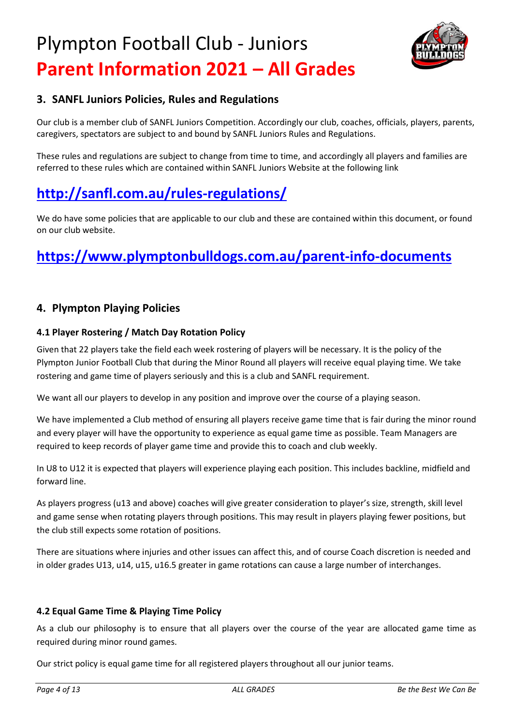

### **3. SANFL Juniors Policies, Rules and Regulations**

Our club is a member club of SANFL Juniors Competition. Accordingly our club, coaches, officials, players, parents, caregivers, spectators are subject to and bound by SANFL Juniors Rules and Regulations.

These rules and regulations are subject to change from time to time, and accordingly all players and families are referred to these rules which are contained within SANFL Juniors Website at the following link

## **<http://sanfl.com.au/rules-regulations/>**

We do have some policies that are applicable to our club and these are contained within this document, or found on our club website.

## **<https://www.plymptonbulldogs.com.au/parent-info-documents>**

### **4. Plympton Playing Policies**

#### **4.1 Player Rostering / Match Day Rotation Policy**

Given that 22 players take the field each week rostering of players will be necessary. It is the policy of the Plympton Junior Football Club that during the Minor Round all players will receive equal playing time. We take rostering and game time of players seriously and this is a club and SANFL requirement.

We want all our players to develop in any position and improve over the course of a playing season.

We have implemented a Club method of ensuring all players receive game time that is fair during the minor round and every player will have the opportunity to experience as equal game time as possible. Team Managers are required to keep records of player game time and provide this to coach and club weekly.

In U8 to U12 it is expected that players will experience playing each position. This includes backline, midfield and forward line.

As players progress (u13 and above) coaches will give greater consideration to player's size, strength, skill level and game sense when rotating players through positions. This may result in players playing fewer positions, but the club still expects some rotation of positions.

There are situations where injuries and other issues can affect this, and of course Coach discretion is needed and in older grades U13, u14, u15, u16.5 greater in game rotations can cause a large number of interchanges.

#### **4.2 Equal Game Time & Playing Time Policy**

As a club our philosophy is to ensure that all players over the course of the year are allocated game time as required during minor round games.

Our strict policy is equal game time for all registered players throughout all our junior teams.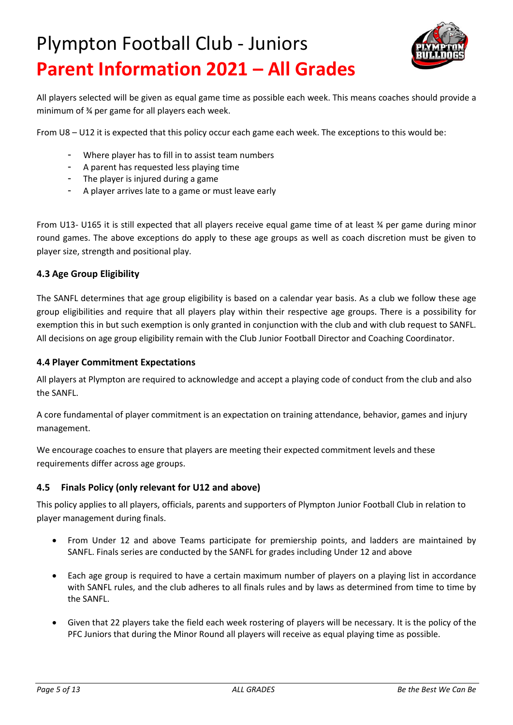

All players selected will be given as equal game time as possible each week. This means coaches should provide a minimum of ¾ per game for all players each week.

From U8 – U12 it is expected that this policy occur each game each week. The exceptions to this would be:

- Where player has to fill in to assist team numbers
- A parent has requested less playing time
- The player is injured during a game
- A player arrives late to a game or must leave early

From U13- U165 it is still expected that all players receive equal game time of at least ¾ per game during minor round games. The above exceptions do apply to these age groups as well as coach discretion must be given to player size, strength and positional play.

#### **4.3 Age Group Eligibility**

The SANFL determines that age group eligibility is based on a calendar year basis. As a club we follow these age group eligibilities and require that all players play within their respective age groups. There is a possibility for exemption this in but such exemption is only granted in conjunction with the club and with club request to SANFL. All decisions on age group eligibility remain with the Club Junior Football Director and Coaching Coordinator.

#### **4.4 Player Commitment Expectations**

All players at Plympton are required to acknowledge and accept a playing code of conduct from the club and also the SANFL.

A core fundamental of player commitment is an expectation on training attendance, behavior, games and injury management.

We encourage coaches to ensure that players are meeting their expected commitment levels and these requirements differ across age groups.

#### **4.5 Finals Policy (only relevant for U12 and above)**

This policy applies to all players, officials, parents and supporters of Plympton Junior Football Club in relation to player management during finals.

- From Under 12 and above Teams participate for premiership points, and ladders are maintained by SANFL. Finals series are conducted by the SANFL for grades including Under 12 and above
- Each age group is required to have a certain maximum number of players on a playing list in accordance with SANFL rules, and the club adheres to all finals rules and by laws as determined from time to time by the SANFL.
- Given that 22 players take the field each week rostering of players will be necessary. It is the policy of the PFC Juniors that during the Minor Round all players will receive as equal playing time as possible.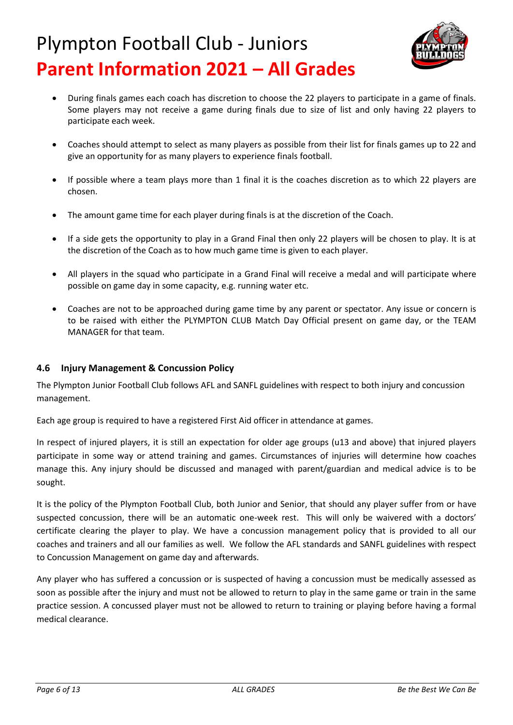

- During finals games each coach has discretion to choose the 22 players to participate in a game of finals. Some players may not receive a game during finals due to size of list and only having 22 players to participate each week.
- Coaches should attempt to select as many players as possible from their list for finals games up to 22 and give an opportunity for as many players to experience finals football.
- If possible where a team plays more than 1 final it is the coaches discretion as to which 22 players are chosen.
- The amount game time for each player during finals is at the discretion of the Coach.
- If a side gets the opportunity to play in a Grand Final then only 22 players will be chosen to play. It is at the discretion of the Coach as to how much game time is given to each player.
- All players in the squad who participate in a Grand Final will receive a medal and will participate where possible on game day in some capacity, e.g. running water etc.
- Coaches are not to be approached during game time by any parent or spectator. Any issue or concern is to be raised with either the PLYMPTON CLUB Match Day Official present on game day, or the TEAM MANAGER for that team.

#### **4.6 Injury Management & Concussion Policy**

The Plympton Junior Football Club follows AFL and SANFL guidelines with respect to both injury and concussion management.

Each age group is required to have a registered First Aid officer in attendance at games.

In respect of injured players, it is still an expectation for older age groups (u13 and above) that injured players participate in some way or attend training and games. Circumstances of injuries will determine how coaches manage this. Any injury should be discussed and managed with parent/guardian and medical advice is to be sought.

It is the policy of the Plympton Football Club, both Junior and Senior, that should any player suffer from or have suspected concussion, there will be an automatic one-week rest. This will only be waivered with a doctors' certificate clearing the player to play. We have a concussion management policy that is provided to all our coaches and trainers and all our families as well. We follow the AFL standards and SANFL guidelines with respect to Concussion Management on game day and afterwards.

Any player who has suffered a concussion or is suspected of having a concussion must be medically assessed as soon as possible after the injury and must not be allowed to return to play in the same game or train in the same practice session. A concussed player must not be allowed to return to training or playing before having a formal medical clearance.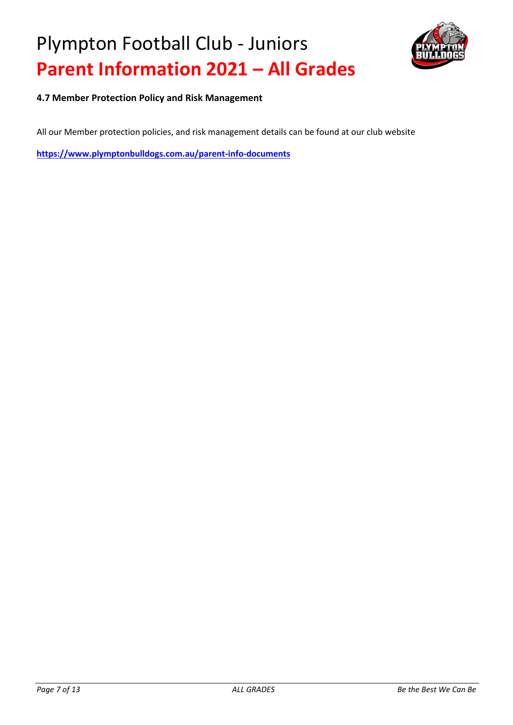

**4.7 Member Protection Policy and Risk Management**

All our Member protection policies, and risk management details can be found at our club website

**<https://www.plymptonbulldogs.com.au/parent-info-documents>**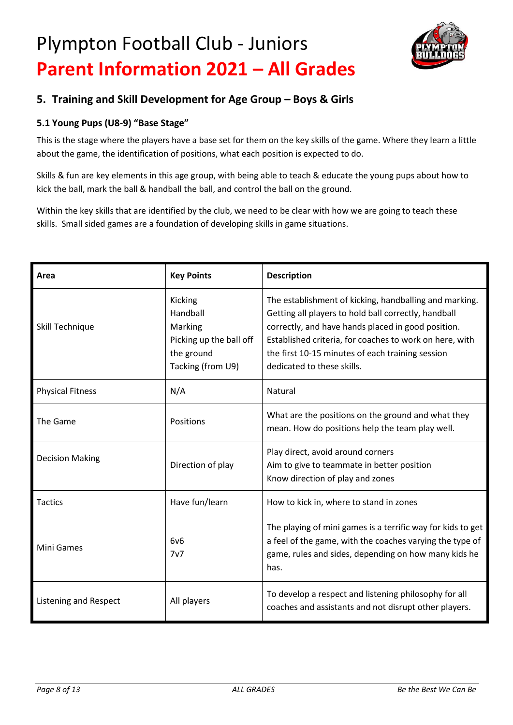

### **5. Training and Skill Development for Age Group – Boys & Girls**

### **5.1 Young Pups (U8-9) "Base Stage"**

This is the stage where the players have a base set for them on the key skills of the game. Where they learn a little about the game, the identification of positions, what each position is expected to do.

Skills & fun are key elements in this age group, with being able to teach & educate the young pups about how to kick the ball, mark the ball & handball the ball, and control the ball on the ground.

Within the key skills that are identified by the club, we need to be clear with how we are going to teach these skills. Small sided games are a foundation of developing skills in game situations.

| Area                         | <b>Key Points</b>                                                                            | <b>Description</b>                                                                                                                                                                                                                                                                                                |
|------------------------------|----------------------------------------------------------------------------------------------|-------------------------------------------------------------------------------------------------------------------------------------------------------------------------------------------------------------------------------------------------------------------------------------------------------------------|
| Skill Technique              | Kicking<br>Handball<br>Marking<br>Picking up the ball off<br>the ground<br>Tacking (from U9) | The establishment of kicking, handballing and marking.<br>Getting all players to hold ball correctly, handball<br>correctly, and have hands placed in good position.<br>Established criteria, for coaches to work on here, with<br>the first 10-15 minutes of each training session<br>dedicated to these skills. |
| <b>Physical Fitness</b>      | N/A                                                                                          | Natural                                                                                                                                                                                                                                                                                                           |
| The Game                     | Positions                                                                                    | What are the positions on the ground and what they<br>mean. How do positions help the team play well.                                                                                                                                                                                                             |
| <b>Decision Making</b>       | Direction of play                                                                            | Play direct, avoid around corners<br>Aim to give to teammate in better position<br>Know direction of play and zones                                                                                                                                                                                               |
| <b>Tactics</b>               | Have fun/learn                                                                               | How to kick in, where to stand in zones                                                                                                                                                                                                                                                                           |
| Mini Games                   | 6v6<br>7v7                                                                                   | The playing of mini games is a terrific way for kids to get<br>a feel of the game, with the coaches varying the type of<br>game, rules and sides, depending on how many kids he<br>has.                                                                                                                           |
| <b>Listening and Respect</b> | All players                                                                                  | To develop a respect and listening philosophy for all<br>coaches and assistants and not disrupt other players.                                                                                                                                                                                                    |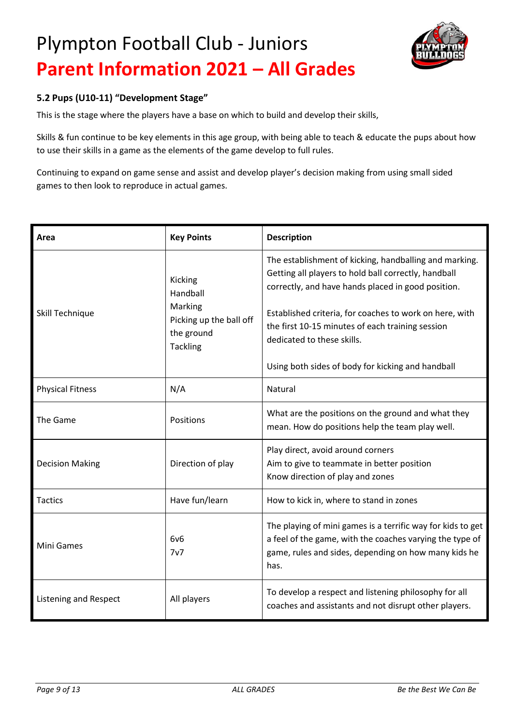

### **5.2 Pups (U10-11) "Development Stage"**

This is the stage where the players have a base on which to build and develop their skills,

Skills & fun continue to be key elements in this age group, with being able to teach & educate the pups about how to use their skills in a game as the elements of the game develop to full rules.

Continuing to expand on game sense and assist and develop player's decision making from using small sided games to then look to reproduce in actual games.

| Area                         | <b>Key Points</b>                                                                          | <b>Description</b>                                                                                                                                                                                                                                                                                                                                                     |
|------------------------------|--------------------------------------------------------------------------------------------|------------------------------------------------------------------------------------------------------------------------------------------------------------------------------------------------------------------------------------------------------------------------------------------------------------------------------------------------------------------------|
| Skill Technique              | Kicking<br>Handball<br>Marking<br>Picking up the ball off<br>the ground<br><b>Tackling</b> | The establishment of kicking, handballing and marking.<br>Getting all players to hold ball correctly, handball<br>correctly, and have hands placed in good position.<br>Established criteria, for coaches to work on here, with<br>the first 10-15 minutes of each training session<br>dedicated to these skills.<br>Using both sides of body for kicking and handball |
| <b>Physical Fitness</b>      | N/A                                                                                        | Natural                                                                                                                                                                                                                                                                                                                                                                |
| The Game                     | Positions                                                                                  | What are the positions on the ground and what they<br>mean. How do positions help the team play well.                                                                                                                                                                                                                                                                  |
| <b>Decision Making</b>       | Direction of play                                                                          | Play direct, avoid around corners<br>Aim to give to teammate in better position<br>Know direction of play and zones                                                                                                                                                                                                                                                    |
| <b>Tactics</b>               | Have fun/learn                                                                             | How to kick in, where to stand in zones                                                                                                                                                                                                                                                                                                                                |
| <b>Mini Games</b>            | 6v6<br>7v7                                                                                 | The playing of mini games is a terrific way for kids to get<br>a feel of the game, with the coaches varying the type of<br>game, rules and sides, depending on how many kids he<br>has.                                                                                                                                                                                |
| <b>Listening and Respect</b> | All players                                                                                | To develop a respect and listening philosophy for all<br>coaches and assistants and not disrupt other players.                                                                                                                                                                                                                                                         |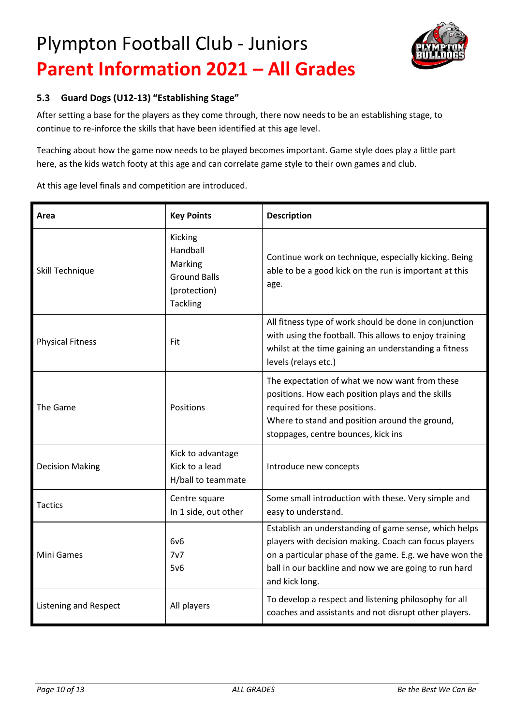

### **5.3 Guard Dogs (U12-13) "Establishing Stage"**

After setting a base for the players as they come through, there now needs to be an establishing stage, to continue to re-inforce the skills that have been identified at this age level.

Teaching about how the game now needs to be played becomes important. Game style does play a little part here, as the kids watch footy at this age and can correlate game style to their own games and club.

At this age level finals and competition are introduced.

| Area                    | <b>Key Points</b>                                                                        | <b>Description</b>                                                                                                                                                                                                                                   |
|-------------------------|------------------------------------------------------------------------------------------|------------------------------------------------------------------------------------------------------------------------------------------------------------------------------------------------------------------------------------------------------|
| Skill Technique         | Kicking<br>Handball<br>Marking<br><b>Ground Balls</b><br>(protection)<br><b>Tackling</b> | Continue work on technique, especially kicking. Being<br>able to be a good kick on the run is important at this<br>age.                                                                                                                              |
| <b>Physical Fitness</b> | Fit                                                                                      | All fitness type of work should be done in conjunction<br>with using the football. This allows to enjoy training<br>whilst at the time gaining an understanding a fitness<br>levels (relays etc.)                                                    |
| The Game                | Positions                                                                                | The expectation of what we now want from these<br>positions. How each position plays and the skills<br>required for these positions.<br>Where to stand and position around the ground,<br>stoppages, centre bounces, kick ins                        |
| <b>Decision Making</b>  | Kick to advantage<br>Kick to a lead<br>H/ball to teammate                                | Introduce new concepts                                                                                                                                                                                                                               |
| <b>Tactics</b>          | Centre square<br>In 1 side, out other                                                    | Some small introduction with these. Very simple and<br>easy to understand.                                                                                                                                                                           |
| <b>Mini Games</b>       | 6v6<br>7v7<br>5v6                                                                        | Establish an understanding of game sense, which helps<br>players with decision making. Coach can focus players<br>on a particular phase of the game. E.g. we have won the<br>ball in our backline and now we are going to run hard<br>and kick long. |
| Listening and Respect   | All players                                                                              | To develop a respect and listening philosophy for all<br>coaches and assistants and not disrupt other players.                                                                                                                                       |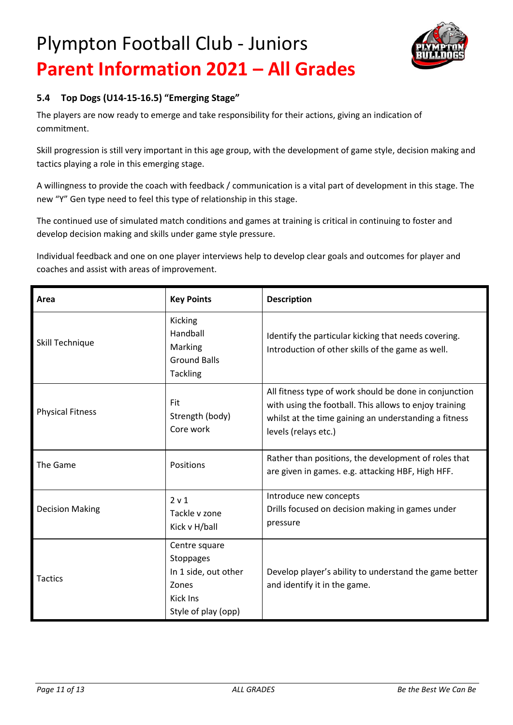

### **5.4 Top Dogs (U14-15-16.5) "Emerging Stage"**

The players are now ready to emerge and take responsibility for their actions, giving an indication of commitment.

Skill progression is still very important in this age group, with the development of game style, decision making and tactics playing a role in this emerging stage.

A willingness to provide the coach with feedback / communication is a vital part of development in this stage. The new "Y" Gen type need to feel this type of relationship in this stage.

The continued use of simulated match conditions and games at training is critical in continuing to foster and develop decision making and skills under game style pressure.

Individual feedback and one on one player interviews help to develop clear goals and outcomes for player and coaches and assist with areas of improvement.

| Area                    | <b>Key Points</b>                                                                                     | <b>Description</b>                                                                                                                                                                                |
|-------------------------|-------------------------------------------------------------------------------------------------------|---------------------------------------------------------------------------------------------------------------------------------------------------------------------------------------------------|
| Skill Technique         | Kicking<br>Handball<br>Marking<br><b>Ground Balls</b><br><b>Tackling</b>                              | Identify the particular kicking that needs covering.<br>Introduction of other skills of the game as well.                                                                                         |
| <b>Physical Fitness</b> | Fit<br>Strength (body)<br>Core work                                                                   | All fitness type of work should be done in conjunction<br>with using the football. This allows to enjoy training<br>whilst at the time gaining an understanding a fitness<br>levels (relays etc.) |
| The Game                | Positions                                                                                             | Rather than positions, the development of roles that<br>are given in games. e.g. attacking HBF, High HFF.                                                                                         |
| <b>Decision Making</b>  | 2 v 1<br>Tackle v zone<br>Kick v H/ball                                                               | Introduce new concepts<br>Drills focused on decision making in games under<br>pressure                                                                                                            |
| <b>Tactics</b>          | Centre square<br><b>Stoppages</b><br>In 1 side, out other<br>Zones<br>Kick Ins<br>Style of play (opp) | Develop player's ability to understand the game better<br>and identify it in the game.                                                                                                            |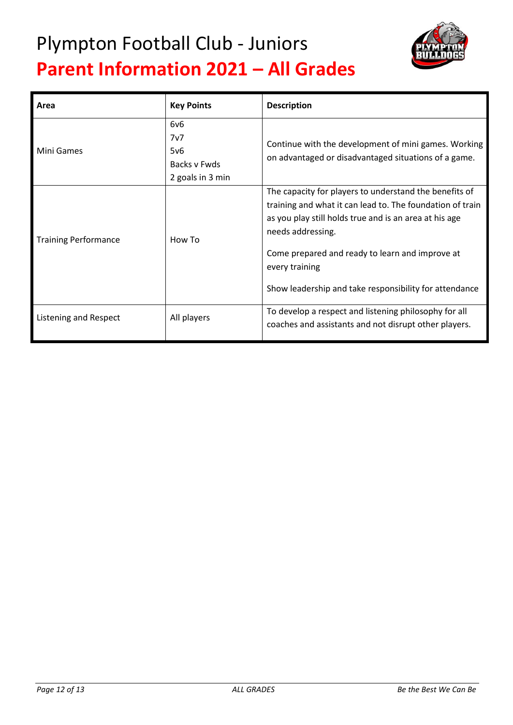

| Area                        | <b>Key Points</b>                                     | <b>Description</b>                                                                                                                                                                                                                                                                                                                |
|-----------------------------|-------------------------------------------------------|-----------------------------------------------------------------------------------------------------------------------------------------------------------------------------------------------------------------------------------------------------------------------------------------------------------------------------------|
| Mini Games                  | 6v6<br>7v7<br>5v6<br>Backs v Fwds<br>2 goals in 3 min | Continue with the development of mini games. Working<br>on advantaged or disadvantaged situations of a game.                                                                                                                                                                                                                      |
| <b>Training Performance</b> | How To                                                | The capacity for players to understand the benefits of<br>training and what it can lead to. The foundation of train<br>as you play still holds true and is an area at his age<br>needs addressing.<br>Come prepared and ready to learn and improve at<br>every training<br>Show leadership and take responsibility for attendance |
| Listening and Respect       | All players                                           | To develop a respect and listening philosophy for all<br>coaches and assistants and not disrupt other players.                                                                                                                                                                                                                    |